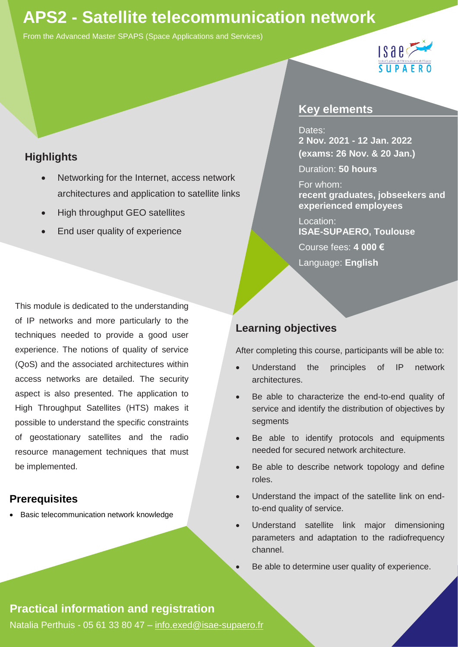# **APS2 - Satellite telecommunication network**

From the Advanced Master SPAPS (Space Applications and Services)



## **Highlights**

- Networking for the Internet, access network architectures and application to satellite links
- High throughput GEO satellites
- End user quality of experience

This module is dedicated to the understanding of IP networks and more particularly to the techniques needed to provide a good user experience. The notions of quality of service (QoS) and the associated architectures within access networks are detailed. The security aspect is also presented. The application to High Throughput Satellites (HTS) makes it possible to understand the specific constraints of geostationary satellites and the radio resource management techniques that must be implemented.

### **Prerequisites**

• Basic telecommunication network knowledge

\*(every Monday and Tuesday, except 11 Nov)

## **Key elements**

#### Dates:

**2 Nov. 2021 - 12 Jan. 2022 (exams: 26 Nov. & 20 Jan.)**

Duration: **50 hours**

#### For whom:

**recent graduates, jobseekers and experienced employees**

Location: **ISAE-SUPAERO, Toulouse** 

Course fees: **4 000 €** 

Language: **English**

### **Learning objectives**

After completing this course, participants will be able to:

- Understand the principles of IP network architectures.
- Be able to characterize the end-to-end quality of service and identify the distribution of objectives by segments
- Be able to identify protocols and equipments needed for secured network architecture.
- Be able to describe network topology and define roles.
- Understand the impact of the satellite link on endto-end quality of service.
- Understand satellite link major dimensioning parameters and adaptation to the radiofrequency channel.

Be able to determine user quality of experience.

### **Practical information and registration**

Natalia Perthuis - 05 61 33 80 47 – [info.exed@isae-supaero.fr](mailto:info.exed@isae-supaero.fr)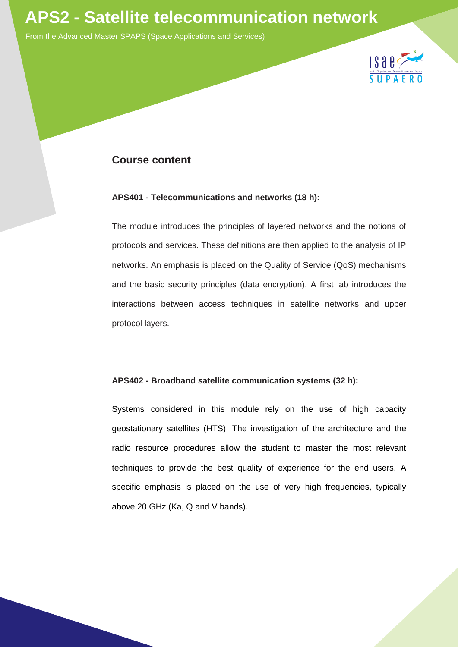

From the Advanced Master SPAPS (Space Applications and Services)



#### **Course content**

#### **APS401 - Telecommunications and networks (18 h):**

The module introduces the principles of layered networks and the notions of protocols and services. These definitions are then applied to the analysis of IP networks. An emphasis is placed on the Quality of Service (QoS) mechanisms and the basic security principles (data encryption). A first lab introduces the interactions between access techniques in satellite networks and upper protocol layers.

#### **APS402 - Broadband satellite communication systems (32 h):**

Systems considered in this module rely on the use of high capacity geostationary satellites (HTS). The investigation of the architecture and the radio resource procedures allow the student to master the most relevant techniques to provide the best quality of experience for the end users. A specific emphasis is placed on the use of very high frequencies, typically above 20 GHz (Ka, Q and V bands).